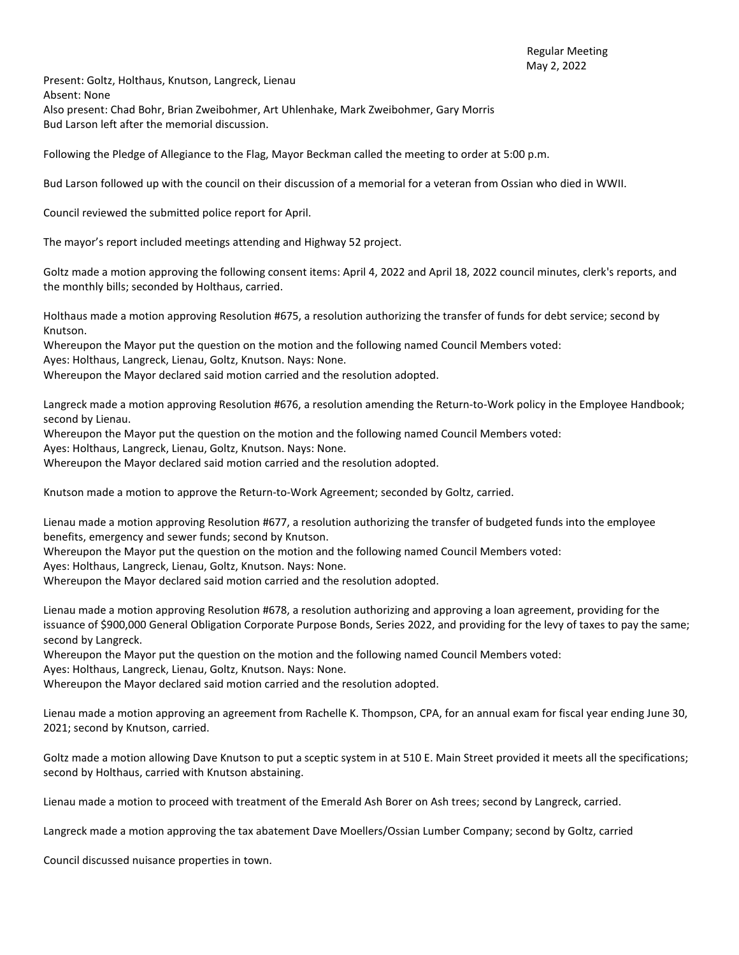Present: Goltz, Holthaus, Knutson, Langreck, Lienau Absent: None Also present: Chad Bohr, Brian Zweibohmer, Art Uhlenhake, Mark Zweibohmer, Gary Morris Bud Larson left after the memorial discussion.

Following the Pledge of Allegiance to the Flag, Mayor Beckman called the meeting to order at 5:00 p.m.

Bud Larson followed up with the council on their discussion of a memorial for a veteran from Ossian who died in WWII.

Council reviewed the submitted police report for April.

The mayor's report included meetings attending and Highway 52 project.

Goltz made a motion approving the following consent items: April 4, 2022 and April 18, 2022 council minutes, clerk's reports, and the monthly bills; seconded by Holthaus, carried.

Holthaus made a motion approving Resolution #675, a resolution authorizing the transfer of funds for debt service; second by Knutson.

Whereupon the Mayor put the question on the motion and the following named Council Members voted:

Ayes: Holthaus, Langreck, Lienau, Goltz, Knutson. Nays: None.

Whereupon the Mayor declared said motion carried and the resolution adopted.

Langreck made a motion approving Resolution #676, a resolution amending the Return-to-Work policy in the Employee Handbook; second by Lienau.

Whereupon the Mayor put the question on the motion and the following named Council Members voted:

Ayes: Holthaus, Langreck, Lienau, Goltz, Knutson. Nays: None.

Whereupon the Mayor declared said motion carried and the resolution adopted.

Knutson made a motion to approve the Return-to-Work Agreement; seconded by Goltz, carried.

Lienau made a motion approving Resolution #677, a resolution authorizing the transfer of budgeted funds into the employee benefits, emergency and sewer funds; second by Knutson.

Whereupon the Mayor put the question on the motion and the following named Council Members voted:

Ayes: Holthaus, Langreck, Lienau, Goltz, Knutson. Nays: None.

Whereupon the Mayor declared said motion carried and the resolution adopted.

Lienau made a motion approving Resolution #678, a resolution authorizing and approving a loan agreement, providing for the issuance of \$900,000 General Obligation Corporate Purpose Bonds, Series 2022, and providing for the levy of taxes to pay the same; second by Langreck.

Whereupon the Mayor put the question on the motion and the following named Council Members voted:

Ayes: Holthaus, Langreck, Lienau, Goltz, Knutson. Nays: None.

Whereupon the Mayor declared said motion carried and the resolution adopted.

Lienau made a motion approving an agreement from Rachelle K. Thompson, CPA, for an annual exam for fiscal year ending June 30, 2021; second by Knutson, carried.

Goltz made a motion allowing Dave Knutson to put a sceptic system in at 510 E. Main Street provided it meets all the specifications; second by Holthaus, carried with Knutson abstaining.

Lienau made a motion to proceed with treatment of the Emerald Ash Borer on Ash trees; second by Langreck, carried.

Langreck made a motion approving the tax abatement Dave Moellers/Ossian Lumber Company; second by Goltz, carried

Council discussed nuisance properties in town.